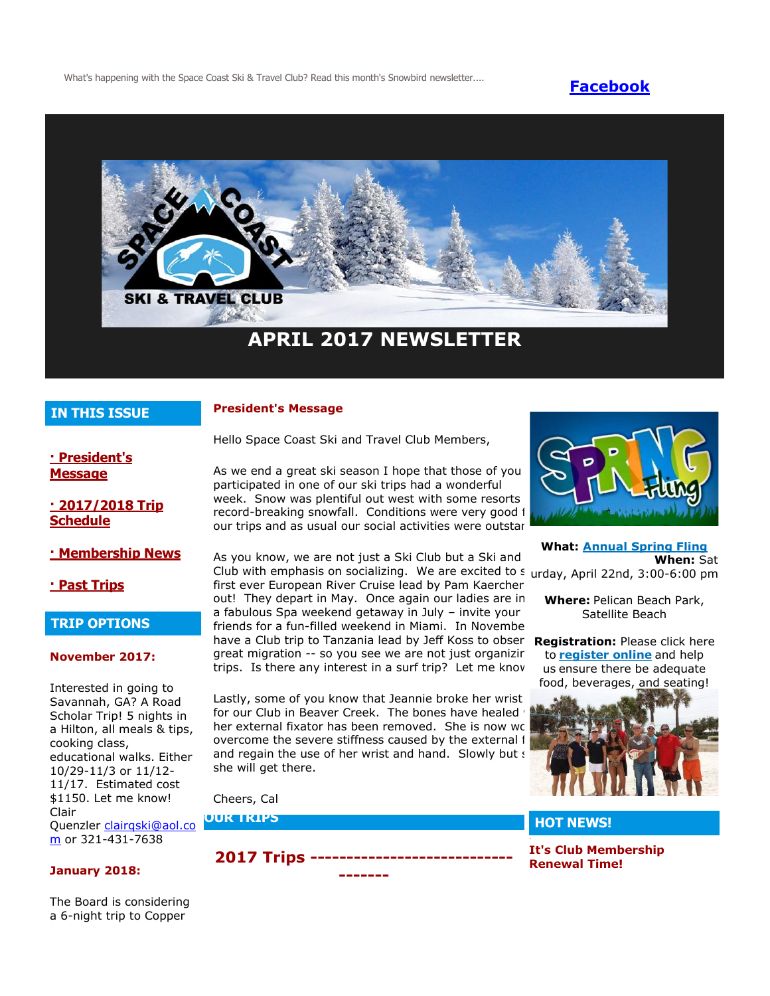What's happening with the Space Coast Ski & Travel Club? Read this month's Snowbird newsletter.... **[Facebook](https://www.facebook.com/pages/Space-Coast-Ski-Club/137991863341)** 



## **IN THIS ISSUE**

#### **President's Message**

Hello Space Coast Ski and Travel Club Members,

**[· President's](http://spacecoastskiclub.com/Admin/Settings/Emails/EmailContentProvider.aspx?emailId=57603461#anchor1)  [Message](http://spacecoastskiclub.com/Admin/Settings/Emails/EmailContentProvider.aspx?emailId=57603461#anchor1)**

**[· 2017/2018 Trip](http://spacecoastskiclub.com/Admin/Settings/Emails/EmailContentProvider.aspx?emailId=57603461#anchor2)  [Schedule](http://spacecoastskiclub.com/Admin/Settings/Emails/EmailContentProvider.aspx?emailId=57603461#anchor2)** 

**[· Membership News](http://spacecoastskiclub.com/Admin/Settings/Emails/EmailContentProvider.aspx?emailId=57603461#anchor3)**

**[· Past Trips](http://spacecoastskiclub.com/Admin/Settings/Emails/EmailContentProvider.aspx?emailId=57603461#anchor4)**

#### **TRIP OPTIONS**

#### **November 2017:**

Interested in going to Savannah, GA? A Road Scholar Trip! 5 nights in a Hilton, all meals & tips, cooking class, educational walks. Either 10/29-11/3 or 11/12- 11/17. Estimated cost \$1150. Let me know! Clair Quenzler [clairqski@aol.co](mailto:clairqski@aol.com) [m](mailto:clairqski@aol.com) or 321-431-7638

#### **January 2018:**

The Board is considering a 6-night trip to Copper

As we end a great ski season I hope that those of you participated in one of our ski trips had a wonderful week. Snow was plentiful out west with some resorts record-breaking snowfall. Conditions were very good f our trips and as usual our social activities were outstar

As you know, we are not just a Ski Club but a Ski and Club with emphasis on socializing. We are excited to s urday, April 22nd, 3:00-6:00 pm first ever European River Cruise lead by Pam Kaercher out! They depart in May. Once again our ladies are in a fabulous Spa weekend getaway in July - invite your friends for a fun-filled weekend in Miami. In Novembe have a Club trip to Tanzania lead by Jeff Koss to obser great migration -- so you see we are not just organizir trips. Is there any interest in a surf trip? Let me know.

Lastly, some of you know that Jeannie broke her wrist for our Club in Beaver Creek. The bones have healed her external fixator has been removed. She is now wo overcome the severe stiffness caused by the external i and regain the use of her wrist and hand. Slowly but s she will get there.

Cheers, Cal

**OUR TRIPS**

**2017 Trips ---------------------------- -------**



**What: [Annual Spring Fling](http://spacecoastskiclub.com/event-2470018) When:** Sat

**Where:** Pelican Beach Park, Satellite Beach

**Registration:** Please click here to **[register online](http://spacecoastskiclub.com/event-2470018/Registration)** and help us ensure there be adequate food, beverages, and seating!



## **HOT NEWS!**

**It's Club Membership Renewal Time!**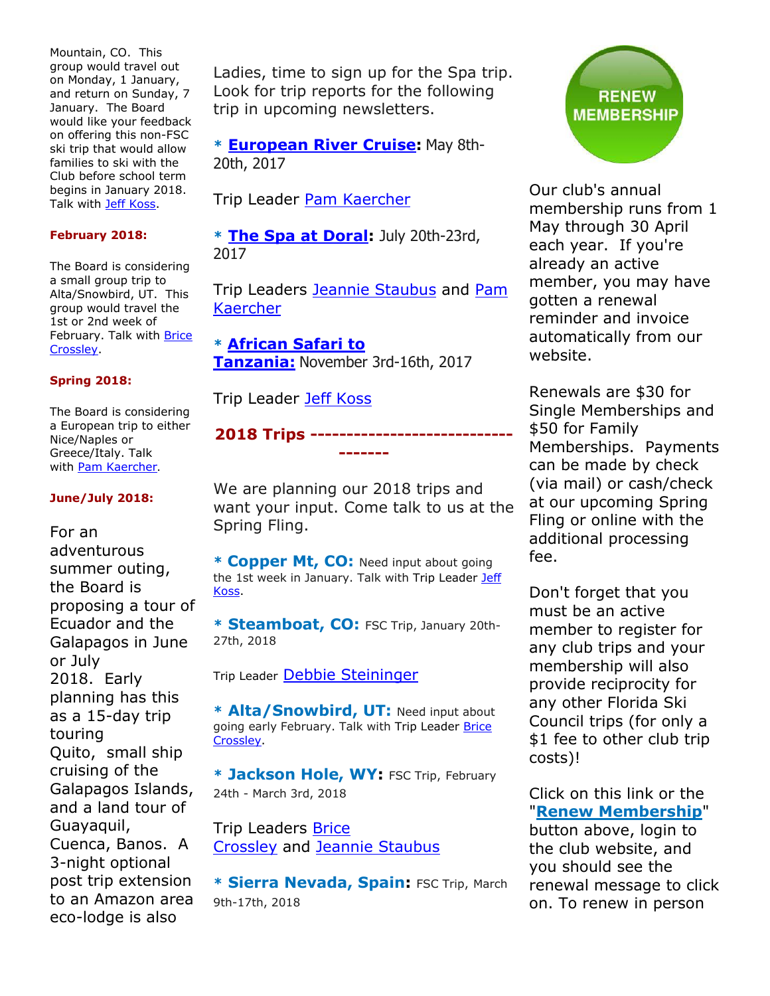Mountain, CO. This group would travel out on Monday, 1 January, and return on Sunday, 7 January. The Board would like your feedback on offering this non-FSC ski trip that would allow families to ski with the Club before school term begins in January 2018. Talk with [Jeff Koss.](mailto:kaoshome@earthlink.net)

## **February 2018:**

The Board is considering a small group trip to Alta/Snowbird, UT. This group would travel the 1st or 2nd week of February. Talk with [Brice](mailto:brice@spacecoastskiclub.com)  [Crossley.](mailto:brice@spacecoastskiclub.com)

## **Spring 2018:**

The Board is considering a European trip to either Nice/Naples or Greece/Italy. Talk with [Pam Kaercher](mailto:Pam@spacecoastskiclub.com).

#### **June/July 2018:**

For an adventurous summer outing, the Board is proposing a tour of Ecuador and the Galapagos in June or July 2018. Early planning has this as a 15-day trip touring Quito, small ship cruising of the Galapagos Islands, and a land tour of Guayaquil, Cuenca, Banos. A 3-night optional post trip extension to an Amazon area eco-lodge is also

Ladies, time to sign up for the Spa trip. Look for trip reports for the following trip in upcoming newsletters.

**\* [European River Cruise:](http://spacecoastskiclub.com/event-2229276)** May 8th-20th, 2017

Trip Leader [Pam Kaercher](mailto:Pam@spacecoastskiclub.com)

**\* [The Spa at Doral:](http://spacecoastskiclub.com/event-2321329)** July 20th-23rd, 2017

Trip Leaders [Jeannie Staubus](mailto:jeannie@spacecoastskiclub.com) and Pam [Kaercher](mailto:Pam@spacecoastskiclub.com)

**\* [African Safari to](http://spacecoastskiclub.com/event-2313660)  [Tanzania:](http://spacecoastskiclub.com/event-2313660)** November 3rd-16th, 2017

Trip Leader [Jeff Koss](mailto:kaoshome@earthlink.net)

## **2018 Trips ---------------------------- -------**

We are planning our 2018 trips and want your input. Come talk to us at the Spring Fling.

**\* Copper Mt, CO:** Need input about going the 1st week in January. Talk with Trip Leader Jeff [Koss.](mailto:kaoshome@earthlink.net)

**\* Steamboat, CO:** FSC Trip, January 20th-27th, 2018

Trip Leader [Debbie Steininger](mailto:debbie@spacecoastskiclub.com)

**\* Alta/Snowbird, UT:** Need input about going early February. Talk with Trip Leader Brice [Crossley.](mailto:brice@spacecoastskiclub.com)

**\* Jackson Hole, WY:** FSC Trip, February 24th - March 3rd, 2018

Trip Leaders [Brice](mailto:brice@spacecoastskiclub.com)  [Crossley](mailto:brice@spacecoastskiclub.com) and [Jeannie Staubus](mailto:jeannie@spacecoastskiclub.com)

**\* Sierra Nevada, Spain:** FSC Trip, March 9th-17th, 2018



Our club's annual membership runs from 1 May through 30 April each year. If you're already an active member, you may have gotten a renewal reminder and invoice automatically from our website.

Renewals are \$30 for Single Memberships and \$50 for Family Memberships. Payments can be made by check (via mail) or cash/check at our upcoming Spring Fling or online with the additional processing fee.

Don't forget that you must be an active member to register for any club trips and your membership will also provide reciprocity for any other Florida Ski Council trips (for only a \$1 fee to other club trip costs)!

Click on this link or the "**[Renew Membership](http://spacecoastskiclub.com/)**"

button above, login to the club website, and you should see the renewal message to click on. To renew in person